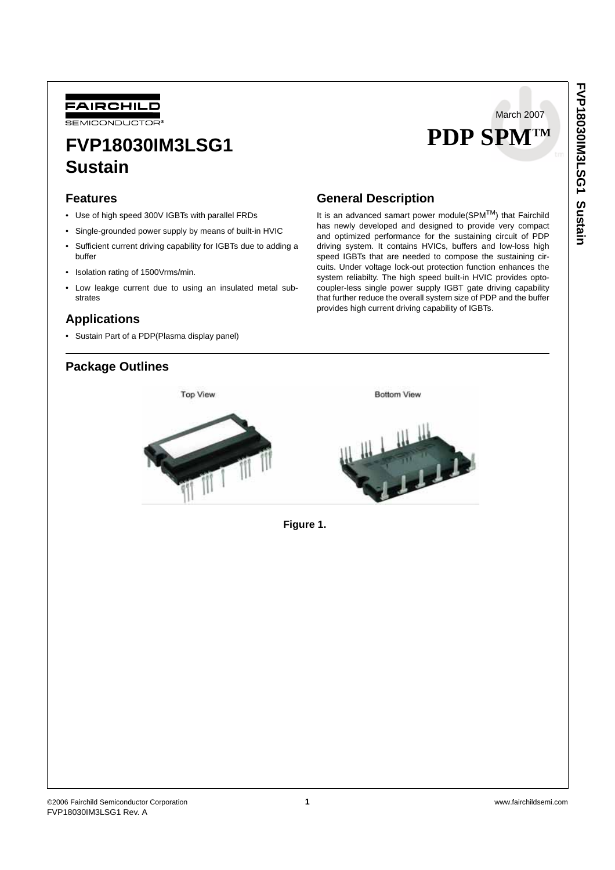

SEMICONDUCTOR

# **FVP18030IM3LSG1 Sustain**

### **Features**

- Use of high speed 300V IGBTs with parallel FRDs
- Single-grounded power supply by means of built-in HVIC
- Sufficient current driving capability for IGBTs due to adding a buffer
- Isolation rating of 1500Vrms/min.
- Low leakge current due to using an insulated metal substrates

### **Applications**

• Sustain Part of a PDP(Plasma display panel)

## **Package Outlines**

### **General Description**

It is an advanced samart power module( $SPM<sup>TM</sup>$ ) that Fairchild has newly developed and designed to provide very compact and optimized performance for the sustaining circuit of PDP driving system. It contains HVICs, buffers and low-loss high speed IGBTs that are needed to compose the sustaining circuits. Under voltage lock-out protection function enhances the system reliabilty. The high speed built-in HVIC provides optocoupler-less single power supply IGBT gate driving capability that further reduce the overall system size of PDP and the buffer provides high current driving capability of IGBTs.

 **PDP SPMTM**

March 2007



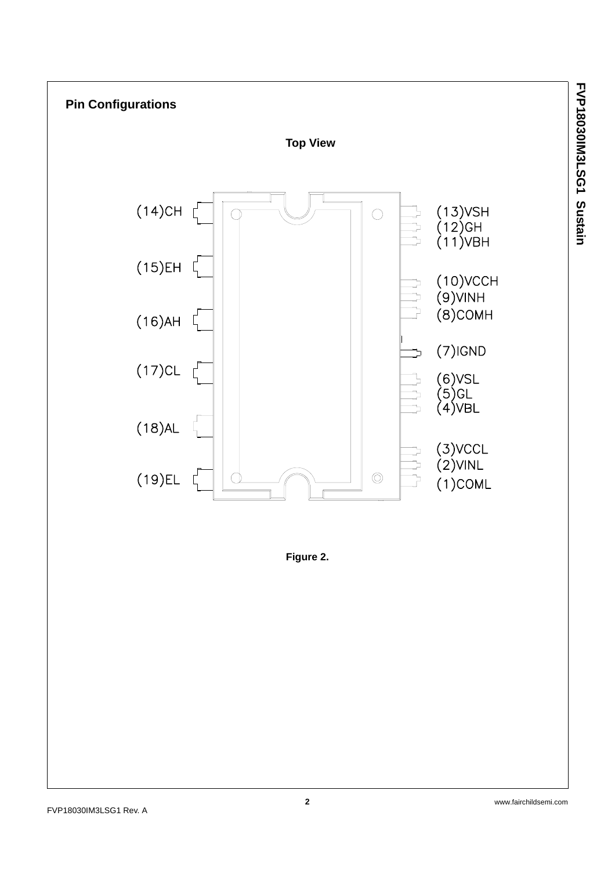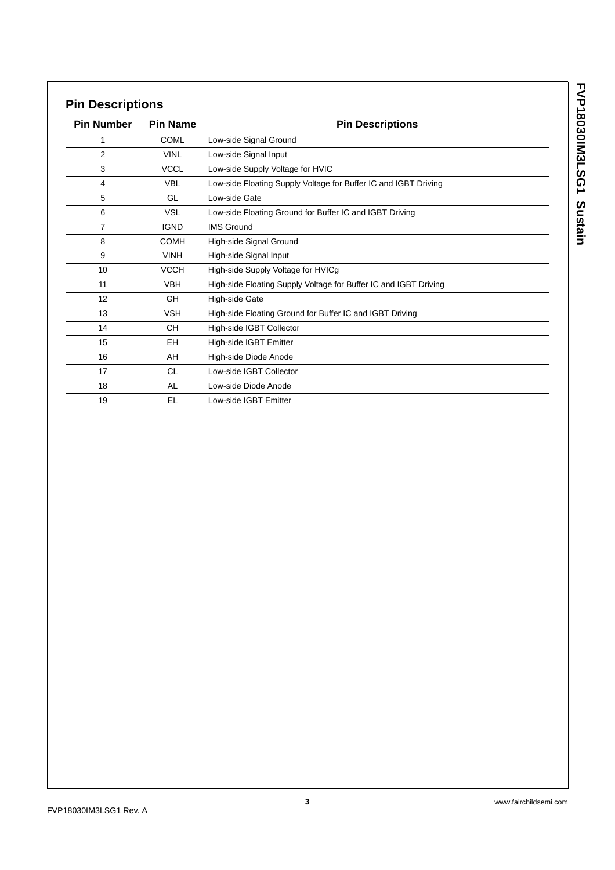| í      |
|--------|
|        |
|        |
|        |
|        |
|        |
|        |
|        |
|        |
|        |
|        |
|        |
| r<br>l |
|        |
| 1      |
|        |
|        |
|        |
|        |
| ı      |
|        |

# **Pin Descriptions**

| <b>Pin Number</b> | <b>Pin Name</b> | <b>Pin Descriptions</b>                                          |  |
|-------------------|-----------------|------------------------------------------------------------------|--|
| 1                 | <b>COML</b>     | Low-side Signal Ground                                           |  |
| $\overline{2}$    | <b>VINL</b>     | Low-side Signal Input                                            |  |
| 3                 | <b>VCCL</b>     | Low-side Supply Voltage for HVIC                                 |  |
| 4                 | <b>VBL</b>      | Low-side Floating Supply Voltage for Buffer IC and IGBT Driving  |  |
| 5                 | GL              | Low-side Gate                                                    |  |
| 6                 | <b>VSL</b>      | Low-side Floating Ground for Buffer IC and IGBT Driving          |  |
| $\overline{7}$    | <b>IGND</b>     | <b>IMS Ground</b>                                                |  |
| 8                 | <b>COMH</b>     | High-side Signal Ground                                          |  |
| 9                 | <b>VINH</b>     | High-side Signal Input                                           |  |
| 10                | <b>VCCH</b>     | High-side Supply Voltage for HVICg                               |  |
| 11                | <b>VBH</b>      | High-side Floating Supply Voltage for Buffer IC and IGBT Driving |  |
| 12                | <b>GH</b>       | High-side Gate                                                   |  |
| 13                | <b>VSH</b>      | High-side Floating Ground for Buffer IC and IGBT Driving         |  |
| 14                | <b>CH</b>       | High-side IGBT Collector                                         |  |
| 15                | EH.             | High-side IGBT Emitter                                           |  |
| 16                | AH              | High-side Diode Anode                                            |  |
| 17                | <b>CL</b>       | Low-side IGBT Collector                                          |  |
| 18                | AL              | Low-side Diode Anode                                             |  |
| 19                | EL              | Low-side IGBT Emitter                                            |  |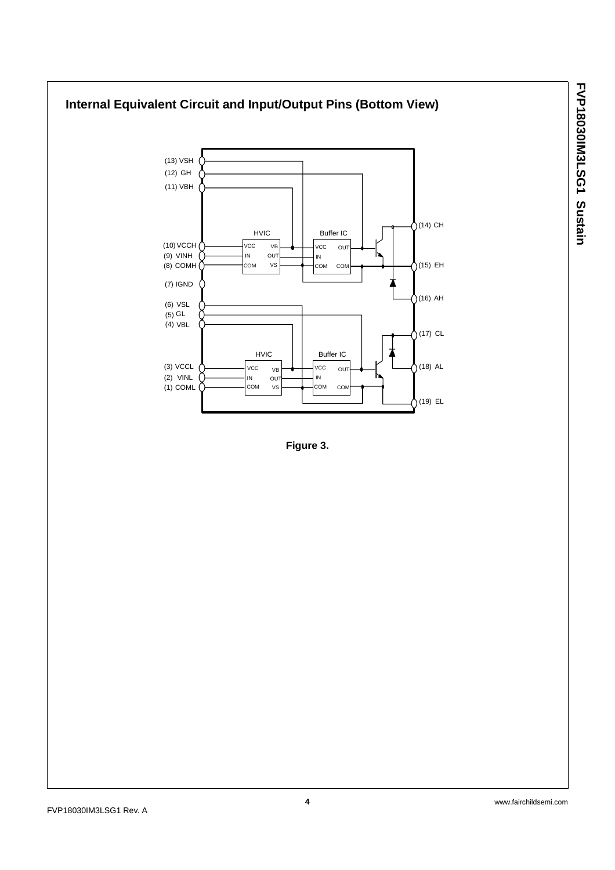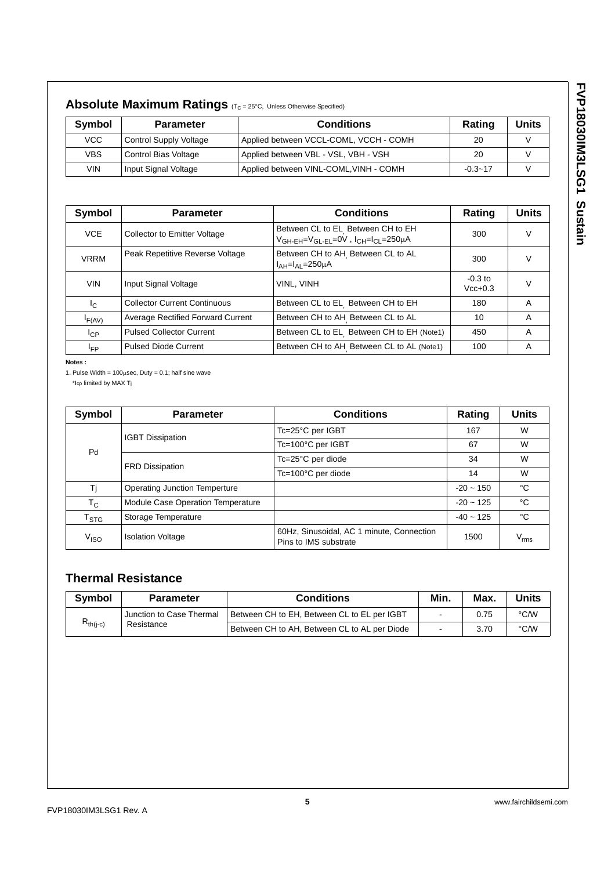|            | <b>ADSOIUTE MAXIMUM RATINGS</b> (T <sub>C</sub> = 25°C, Unless Otherwise Specified) |                                        |             |       |  |  |  |
|------------|-------------------------------------------------------------------------------------|----------------------------------------|-------------|-------|--|--|--|
| Symbol     | <b>Parameter</b>                                                                    | <b>Conditions</b>                      | Rating      | Units |  |  |  |
| <b>VCC</b> | <b>Control Supply Voltage</b>                                                       | Applied between VCCL-COML, VCCH - COMH | 20          |       |  |  |  |
| <b>VBS</b> | Control Bias Voltage                                                                | Applied between VBL - VSL, VBH - VSH   | 20          |       |  |  |  |
| VIN        | Input Signal Voltage                                                                | Applied between VINL-COML, VINH - COMH | $-0.3 - 17$ |       |  |  |  |

| Absolute Maximum Ratings (T <sub>C</sub> = 25°C, Unless Otherwise Specified) |  |
|------------------------------------------------------------------------------|--|
|------------------------------------------------------------------------------|--|

| Symbol                  | <b>Conditions</b><br><b>Parameter</b>    |                                                                                                                           | Rating                 | <b>Units</b> |
|-------------------------|------------------------------------------|---------------------------------------------------------------------------------------------------------------------------|------------------------|--------------|
| <b>VCE</b>              | <b>Collector to Emitter Voltage</b>      | Between CL to EL Between CH to EH<br>V <sub>GH-EH</sub> =V <sub>GL-EL</sub> =0V , I <sub>CH</sub> =I <sub>CL</sub> =250µА | 300                    | V            |
| <b>VRRM</b>             | Peak Repetitive Reverse Voltage          | Between CH to AH Between CL to AL<br>$I_{AH} = I_{AI} = 250 \mu A$                                                        | 300                    | V            |
| <b>VIN</b>              | Input Signal Voltage                     | VINL. VINH                                                                                                                | $-0.3$ to<br>$Vcc+0.3$ |              |
| $\mathsf{I}_\mathsf{C}$ | <b>Collector Current Continuous</b>      | Between CL to EL Between CH to EH                                                                                         | 180                    | A            |
| $I_{F(AV)}$             | <b>Average Rectified Forward Current</b> | Between CH to AH Between CL to AL                                                                                         | 10                     | A            |
| $I_{\rm CP}$            | <b>Pulsed Collector Current</b>          | Between CL to EL Between CH to EH (Note1)                                                                                 | 450                    | A            |
| I <sub>FP</sub>         | <b>Pulsed Diode Current</b>              | Between CH to AH Between CL to AL (Note1)                                                                                 | 100                    | A            |

**Notes :**

1. Pulse Width =  $100\mu$ sec, Duty = 0.1; half sine wave

\*Icp limited by MAX Tj

| Symbol                    | <b>Parameter</b>                     | <b>Conditions</b>                                                  | Rating      | <b>Units</b>     |
|---------------------------|--------------------------------------|--------------------------------------------------------------------|-------------|------------------|
|                           | <b>IGBT Dissipation</b>              | Tc=25°C per IGBT                                                   | 167         | W                |
| Pd                        |                                      | Tc=100°C per IGBT                                                  | 67          | W                |
|                           |                                      | Tc=25°C per diode                                                  | 34          | W                |
|                           | <b>FRD Dissipation</b>               | $Tc = 100^{\circ}C$ per diode                                      | 14          | W                |
| Τj                        | <b>Operating Junction Temperture</b> |                                                                    | $-20 - 150$ | °C               |
| $T_{\rm C}$               | Module Case Operation Temperature    |                                                                    | $-20 - 125$ | °C               |
| $\mathsf{T}_{\text{STG}}$ | Storage Temperature                  |                                                                    | $-40 - 125$ | °C               |
| V <sub>ISO</sub>          | <b>Isolation Voltage</b>             | 60Hz, Sinusoidal, AC 1 minute, Connection<br>Pins to IMS substrate | 1500        | $V_{\text{rms}}$ |

# **Thermal Resistance**

| <b>Symbol</b> | <b>Parameter</b>         | <b>Conditions</b>                              | Min. | <b>Max</b> | Units |
|---------------|--------------------------|------------------------------------------------|------|------------|-------|
|               | Junction to Case Thermal | Between CH to EH, Between CL to EL per IGBT    |      | 0.75       | °C/W  |
| $R_{th(i-c)}$ | Resistance               | l Between CH to AH. Between CL to AL per Diode |      | 3.70       | °C/W  |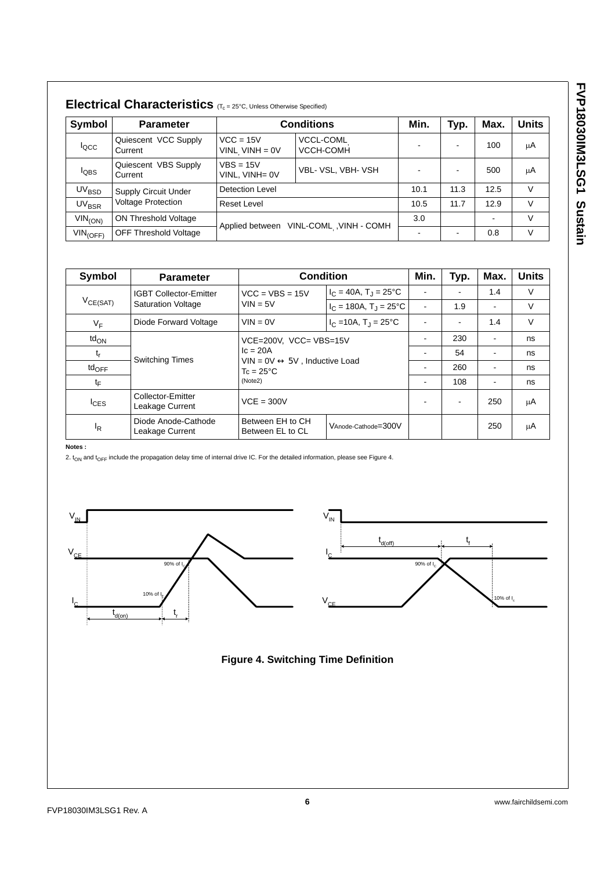| Symbol                  | <b>Parameter</b>                |                                        | <b>Conditions</b>             | Min.                     | Typ.                     | Max. | <b>Units</b> |
|-------------------------|---------------------------------|----------------------------------------|-------------------------------|--------------------------|--------------------------|------|--------------|
| <b>locc</b>             | Quiescent VCC Supply<br>Current | $VCC = 15V$<br>VINL VINH = $0V$        | <b>VCCL-COML</b><br>VCCH-COMH | $\overline{\phantom{a}}$ |                          | 100  | μA           |
| $I_{\text{QBS}}$        | Quiescent VBS Supply<br>Current | $VBS = 15V$<br>VINL. VINH= 0V          | VBL- VSL, VBH- VSH            |                          |                          | 500  | μA           |
| UV <sub>BSD</sub>       | <b>Supply Circuit Under</b>     | <b>Detection Level</b>                 |                               |                          | 11.3                     | 12.5 | V            |
| <b>UV<sub>BSR</sub></b> | <b>Voltage Protection</b>       | Reset Level                            |                               |                          | 11.7                     | 12.9 | V            |
| $VIN_{(ON)}$            | ON Threshold Voltage            |                                        |                               |                          |                          |      | V            |
| $VIN_{(OFF)}$           | <b>OFF Threshold Voltage</b>    | Applied between VINL-COML, VINH - COMH |                               | $\overline{\phantom{a}}$ | $\overline{\phantom{0}}$ | 0.8  | V            |

| Symbol                      | <b>Parameter</b>                       |                                                                                                | <b>Condition</b>                     |   | Typ. | Max. | <b>Units</b> |   |    |
|-----------------------------|----------------------------------------|------------------------------------------------------------------------------------------------|--------------------------------------|---|------|------|--------------|---|----|
|                             | <b>IGBT Collector-Emitter</b>          | $VCC = VBS = 15V$                                                                              | $I_C = 40A$ , $T_1 = 25^{\circ}C$    | ۰ |      | 1.4  | $\vee$       |   |    |
| $V_{CE(SAT)}$               | <b>Saturation Voltage</b>              | $VIN = 5V$                                                                                     | $I_C = 180A$ , T <sub>J</sub> = 25°C | ۰ | 1.9  |      | $\vee$       |   |    |
| $V_F$                       | Diode Forward Voltage                  | $VIN = 0V$                                                                                     | $I_C = 10A$ , $T_I = 25^{\circ}C$    |   |      | 1.4  | $\vee$       |   |    |
| $\mathsf{td}_{\mathsf{ON}}$ |                                        | VCE=200V, VCC= VBS=15V                                                                         |                                      |   | 230  |      | ns           |   |    |
| t <sub>r</sub>              |                                        | $c = 20A$<br><b>Switching Times</b><br>5V. Inductive Load<br>$VIN = 0V$<br>$T_c = 25^{\circ}C$ |                                      | ٠ | 54   |      | ns           |   |    |
| $td_{OFF}$                  |                                        |                                                                                                |                                      | ٠ | 260  | ۰    | ns           |   |    |
| tF                          |                                        | (Note2)                                                                                        |                                      |   |      | ۰    | 108          | ٠ | ns |
| $I_{CES}$                   | Collector-Emitter<br>Leakage Current   | $VCE = 300V$                                                                                   |                                      | ۰ |      | 250  | μA           |   |    |
| Ι <sub>R</sub>              | Diode Anode-Cathode<br>Leakage Current | Between EH to CH<br>Between EL to CL                                                           | VAnode-Cathode=300V                  |   |      | 250  | μA           |   |    |

**Notes :**

2.  $t_{ON}$  and  $t_{OFF}$  include the propagation delay time of internal drive IC. For the detailed information, please see Figure 4.





## **Figure 4. Switching Time Definition**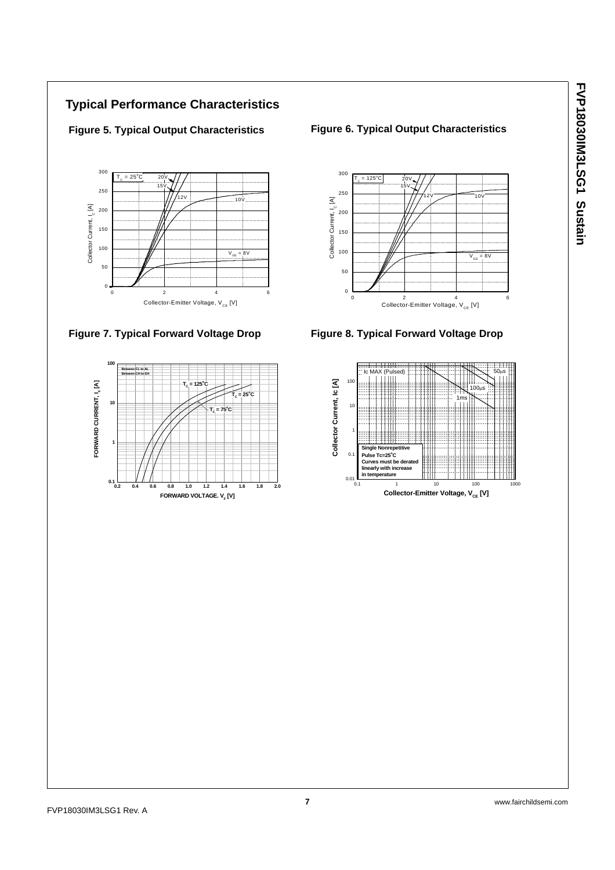## **Typical Performance Characteristics**



### **Figure 7. Typical Forward Voltage Drop Figure 8. Typical Forward Voltage Drop**



### **Figure 5. Typical Output Characteristics Figure 6. Typical Output Characteristics**



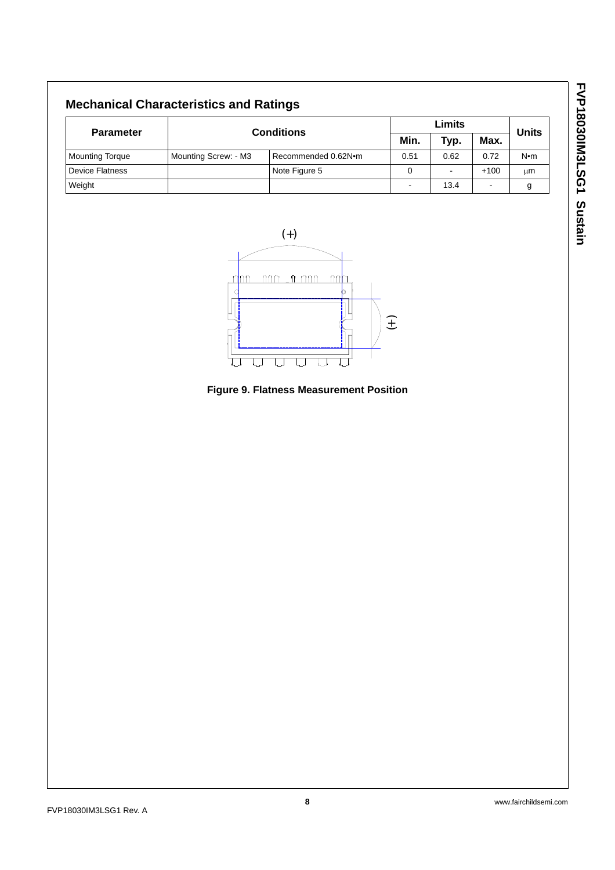# **Mechanical Characteristics and Ratings**

| <b>Parameter</b>       |                      |                     | Limits |                |        | <b>Units</b> |
|------------------------|----------------------|---------------------|--------|----------------|--------|--------------|
|                        | <b>Conditions</b>    |                     | Min.   | Typ.           | Max.   |              |
| <b>Mounting Torque</b> | Mounting Screw: - M3 | Recommended 0.62N.m | 0.51   | 0.62           | 0.72   | $N \cdot m$  |
| <b>Device Flatness</b> |                      | Note Figure 5       |        | $\blacksquare$ | $+100$ | μm           |
| Weight                 |                      |                     | -      | 13.4           | -      |              |



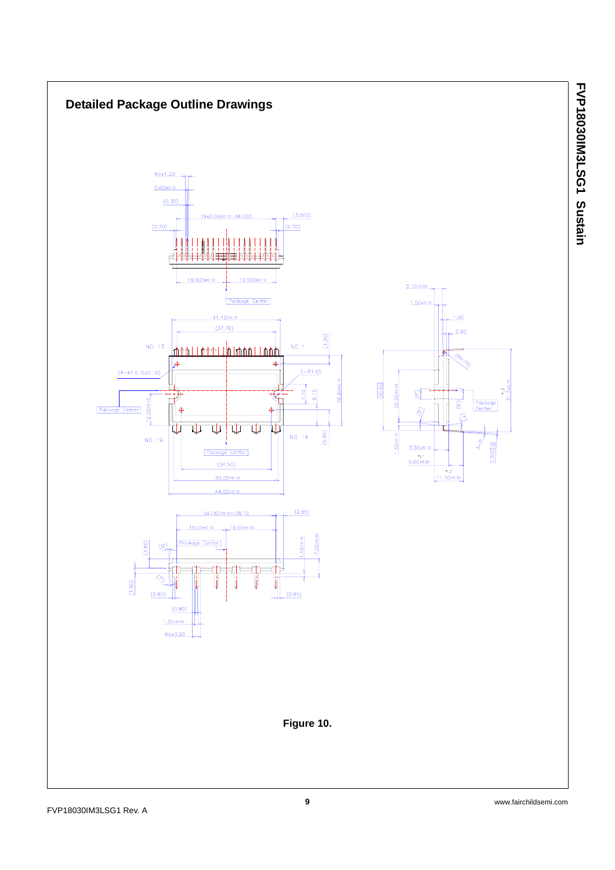